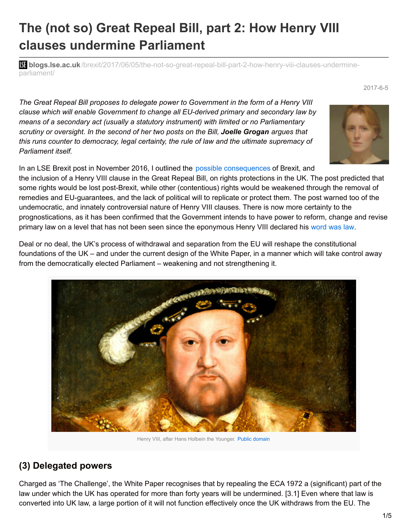# **The (not so) Great Repeal Bill, part 2: How Henry VIII clauses undermine Parliament**

**bli blogs.lse.ac.uk**[/brexit/2017/06/05/the-not-so-great-repeal-bill-part-2-how-henry-viii-clauses-undermine](http://blogs.lse.ac.uk/brexit/2017/06/05/the-not-so-great-repeal-bill-part-2-how-henry-viii-clauses-undermine-parliament/)parliament/

*The Great Repeal Bill proposes to delegate power to Government in the form of a Henry VIII clause which will enable Government to change all EU-derived primary and secondary law by means of a secondary act (usually a statutory instrument) with limited or no Parliamentary scrutiny or oversight. In the second of her two posts on the Bill, Joelle Grogan argues that this runs counter to democracy, legal certainty, the rule of law and the ultimate supremacy of Parliament itself.*

In an LSE Brexit post in November 2016, I outlined the possible [consequences](http://blogs.lse.ac.uk/brexit/2016/11/30/rights-for-the-chop-how-a-henry-viii-clause-in-the-great-repeal-bill-will-undermine-democracy/) of Brexit, and the inclusion of a Henry VIII clause in the Great Repeal Bill, on rights protections in the UK. The post predicted that some rights would be lost post-Brexit, while other (contentious) rights would be weakened through the removal of remedies and EU-guarantees, and the lack of political will to replicate or protect them. The post warned too of the undemocratic, and innately controversial nature of Henry VIII clauses. There is now more certainty to the prognostications, as it has been confirmed that the Government intends to have power to reform, change and revise primary law on a level that has not been seen since the eponymous Henry VIII declared his [word](http://www.parliament.uk/site-information/glossary/henry-viii-clauses/) was law.

Deal or no deal, the UK's process of withdrawal and separation from the EU will reshape the constitutional foundations of the UK – and under the current design of the White Paper, in a manner which will take control away from the democratically elected Parliament – weakening and not strengthening it.



#### **(3) Delegated powers**

Charged as 'The Challenge', the White Paper recognises that by repealing the ECA 1972 a (significant) part of the law under which the UK has operated for more than forty years will be undermined. [3.1] Even where that law is converted into UK law, a large portion of it will not function effectively once the UK withdraws from the EU. The



#### 2017-6-5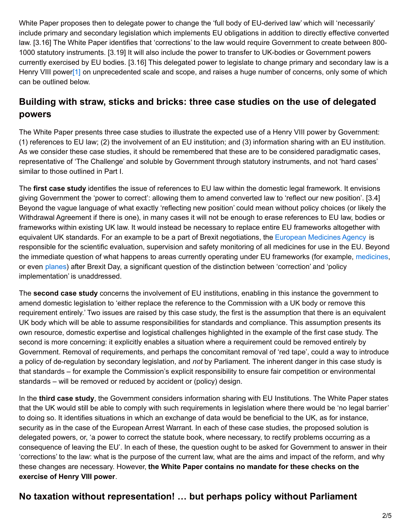White Paper proposes then to delegate power to change the 'full body of EU-derived law' which will 'necessarily' include primary and secondary legislation which implements EU obligations in addition to directly effective converted law. [3.16] The White Paper identifies that 'corrections' to the law would require Government to create between 800- 1000 statutory instruments. [3.19] It will also include the power to transfer to UK-bodies or Government powers currently exercised by EU bodies. [3.16] This delegated power to legislate to change primary and secondary law is a Henry VIII power<sup>[1]</sup> on unprecedented scale and scope, and raises a huge number of concerns, only some of which can be outlined below.

# <span id="page-1-0"></span>**Building with straw, sticks and bricks: three case studies on the use of delegated powers**

The White Paper presents three case studies to illustrate the expected use of a Henry VIII power by Government: (1) references to EU law; (2) the involvement of an EU institution; and (3) information sharing with an EU institution. As we consider these case studies, it should be remembered that these are to be considered paradigmatic cases, representative of 'The Challenge' and soluble by Government through statutory instruments, and not 'hard cases' similar to those outlined in Part I.

The **first case study** identifies the issue of references to EU law within the domestic legal framework. It envisions giving Government the 'power to correct': allowing them to amend converted law to 'reflect our new position'. [3.4] Beyond the vague language of what exactly 'reflecting new position' could mean without policy choices (or likely the Withdrawal Agreement if there is one), in many cases it will not be enough to erase references to EU law, bodies or frameworks within existing UK law. It would instead be necessary to replace entire EU frameworks altogether with equivalent UK standards. For an example to be a part of Brexit negotiations, the European [Medicines](http://www.ema.europa.eu/ema/) Agency is responsible for the scientific evaluation, supervision and safety monitoring of all medicines for use in the EU. Beyond the immediate question of what happens to areas currently operating under EU frameworks (for example, [medicines](https://pharmaphorum.com/brexit-implications-pharma/), or even [planes](https://www.ft.com/content/1881c3c8-f830-11e6-9516-2d969e0d3b65)) after Brexit Day, a significant question of the distinction between 'correction' and 'policy implementation' is unaddressed.

The **second case study** concerns the involvement of EU institutions, enabling in this instance the government to amend domestic legislation to 'either replace the reference to the Commission with a UK body or remove this requirement entirely.' Two issues are raised by this case study, the first is the assumption that there is an equivalent UK body which will be able to assume responsibilities for standards and compliance. This assumption presents its own resource, domestic expertise and logistical challenges highlighted in the example of the first case study. The second is more concerning: it explicitly enables a situation where a requirement could be removed entirely by Government. Removal of requirements, and perhaps the concomitant removal of 'red tape', could a way to introduce a policy of de-regulation by secondary legislation, and *not* by Parliament. The inherent danger in this case study is that standards – for example the Commission's explicit responsibility to ensure fair competition or environmental standards – will be removed or reduced by accident or (policy) design.

In the **third case study**, the Government considers information sharing with EU Institutions. The White Paper states that the UK would still be able to comply with such requirements in legislation where there would be 'no legal barrier' to doing so. It identifies situations in which an exchange of data would be beneficial to the UK, as for instance, security as in the case of the European Arrest Warrant. In each of these case studies, the proposed solution is delegated powers, or, 'a power to correct the statute book, where necessary, to rectify problems occurring as a consequence of leaving the EU'. In each of these, the question ought to be asked for Government to answer in their 'corrections' to the law: what is the purpose of the current law, what are the aims and impact of the reform, and why these changes are necessary. However, **the White Paper contains no mandate for these checks on the exercise of Henry VIII power**.

# **No taxation without representation! … but perhaps policy without Parliament**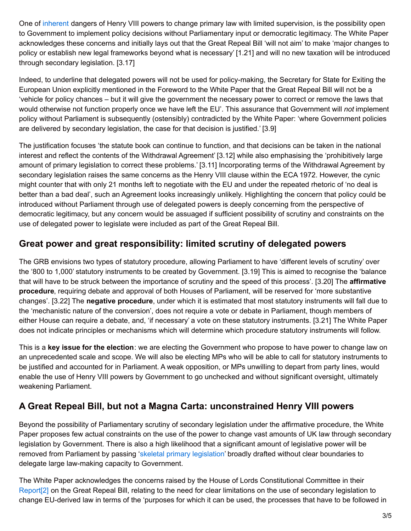One of [inherent](https://www.kcl.ac.uk/law/newsevents/newsrecords/2015-16/Ceding-Power-to-the-Executive---Lord-Judge---130416.pdf) dangers of Henry VIII powers to change primary law with limited supervision, is the possibility open to Government to implement policy decisions without Parliamentary input or democratic legitimacy. The White Paper acknowledges these concerns and initially lays out that the Great Repeal Bill 'will not aim' to make 'major changes to policy or establish new legal frameworks beyond what is necessary' [1.21] and will no new taxation will be introduced through secondary legislation. [3.17]

Indeed, to underline that delegated powers will not be used for policy-making, the Secretary for State for Exiting the European Union explicitly mentioned in the Foreword to the White Paper that the Great Repeal Bill will not be a 'vehicle for policy chances – but it will give the government the necessary power to correct or remove the laws that would otherwise not function properly once we have left the EU'. This assurance that Government will *not* implement policy without Parliament is subsequently (ostensibly) contradicted by the White Paper: 'where Government policies are delivered by secondary legislation, the case for that decision is justified.' [3.9]

The justification focuses 'the statute book can continue to function, and that decisions can be taken in the national interest and reflect the contents of the Withdrawal Agreement' [3.12] while also emphasising the 'prohibitively large amount of primary legislation to correct these problems.' [3.11] Incorporating terms of the Withdrawal Agreement by secondary legislation raises the same concerns as the Henry VIII clause within the ECA 1972. However, the cynic might counter that with only 21 months left to negotiate with the EU and under the repeated rhetoric of 'no deal is better than a bad deal', such an Agreement looks increasingly unlikely. Highlighting the concern that policy could be introduced without Parliament through use of delegated powers is deeply concerning from the perspective of democratic legitimacy, but any concern would be assuaged if sufficient possibility of scrutiny and constraints on the use of delegated power to legislate were included as part of the Great Repeal Bill.

#### **Great power and great responsibility: limited scrutiny of delegated powers**

The GRB envisions two types of statutory procedure, allowing Parliament to have 'different levels of scrutiny' over the '800 to 1,000' statutory instruments to be created by Government. [3.19] This is aimed to recognise the 'balance that will have to be struck between the importance of scrutiny and the speed of this process'. [3.20] The **affirmative procedure**, requiring debate and approval of both Houses of Parliament, will be reserved for 'more substantive changes'. [3.22] The **negative procedure**, under which it is estimated that most statutory instruments will fall due to the 'mechanistic nature of the conversion', does not require a vote or debate in Parliament, though members of either House can require a debate, and, 'if necessary' a vote on these statutory instruments. [3.21] The White Paper does not indicate principles or mechanisms which will determine which procedure statutory instruments will follow.

This is a **key issue for the election**: we are electing the Government who propose to have power to change law on an unprecedented scale and scope. We will also be electing MPs who will be able to call for statutory instruments to be justified and accounted for in Parliament. A weak opposition, or MPs unwilling to depart from party lines, would enable the use of Henry VIII powers by Government to go unchecked and without significant oversight, ultimately weakening Parliament.

# **A Great Repeal Bill, but not a Magna Carta: unconstrained Henry VIII powers**

Beyond the possibility of Parliamentary scrutiny of secondary legislation under the affirmative procedure, the White Paper proposes few actual constraints on the use of the power to change vast amounts of UK law through secondary legislation by Government. There is also a high likelihood that a significant amount of legislative power will be removed from Parliament by passing 'skeletal primary [legislation](https://www.publications.parliament.uk/pa/jt201617/jtselect/jtrights/695/69506.htm)' broadly drafted without clear boundaries to delegate large law-making capacity to Government.

<span id="page-2-0"></span>The White Paper acknowledges the concerns raised by the House of Lords Constitutional Committee in their [Report](https://www.parliament.uk/business/committees/committees-a-z/lords-select/constitution-committee/news-parliament-2015/great-repeal-bill-published/)<sup>[\[2\]](#page-3-1)</sup> on the Great Repeal Bill, relating to the need for clear limitations on the use of secondary legislation to change EU-derived law in terms of the 'purposes for which it can be used, the processes that have to be followed in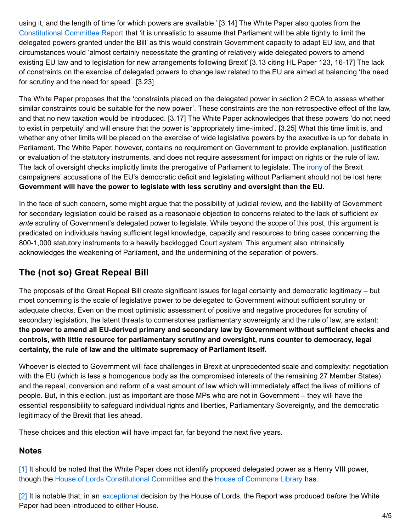using it, and the length of time for which powers are available.' [3.14] The White Paper also quotes from the [Constitutional](https://www.parliament.uk/business/committees/committees-a-z/lords-select/constitution-committee/news-parliament-2015/great-repeal-bill-published/) Committee Report that 'it is unrealistic to assume that Parliament will be able tightly to limit the delegated powers granted under the Bill' as this would constrain Government capacity to adapt EU law, and that circumstances would 'almost certainly necessitate the granting of relatively wide delegated powers to amend existing EU law and to legislation for new arrangements following Brexit' [3.13 citing HL Paper 123, 16-17] The lack of constraints on the exercise of delegated powers to change law related to the EU are aimed at balancing 'the need for scrutiny and the need for speed'. [3.23]

The White Paper proposes that the 'constraints placed on the delegated power in section 2 ECA to assess whether similar constraints could be suitable for the new power'. These constraints are the non-retrospective effect of the law, and that no new taxation would be introduced. [3.17] The White Paper acknowledges that these powers 'do not need to exist in perpetuity' and will ensure that the power is 'appropriately time-limited'. [3.25] What this time limit is, and whether any other limits will be placed on the exercise of wide legislative powers by the executive is up for debate in Parliament. The White Paper, however, contains no requirement on Government to provide explanation, justification or evaluation of the statutory instruments, and does not require assessment for impact on rights or the rule of law. The lack of oversight checks implicitly limits the prerogative of Parliament to legislate. The [irony](http://eulawanalysis.blogspot.co.uk/2016/06/referendum-briefing-3-does-eu-have.html) of the Brexit campaigners' accusations of the EU's democratic deficit and legislating without Parliament should not be lost here: **Government will have the power to legislate with less scrutiny and oversight than the EU.**

In the face of such concern, some might argue that the possibility of judicial review, and the liability of Government for secondary legislation could be raised as a reasonable objection to concerns related to the lack of sufficient *ex ante* scrutiny of Government's delegated power to legislate. While beyond the scope of this post, this argument is predicated on individuals having sufficient legal knowledge, capacity and resources to bring cases concerning the 800-1,000 statutory instruments to a heavily backlogged Court system. This argument also intrinsically acknowledges the weakening of Parliament, and the undermining of the separation of powers.

# **The (not so) Great Repeal Bill**

The proposals of the Great Repeal Bill create significant issues for legal certainty and democratic legitimacy – but most concerning is the scale of legislative power to be delegated to Government without sufficient scrutiny or adequate checks. Even on the most optimistic assessment of positive and negative procedures for scrutiny of secondary legislation, the latent threats to cornerstones parliamentary sovereignty and the rule of law, are extant: **the power to amend all EU-derived primary and secondary law by Government without sufficient checks and controls, with little resource for parliamentary scrutiny and oversight, runs counter to democracy, legal certainty, the rule of law and the ultimate supremacy of Parliament itself.**

Whoever is elected to Government will face challenges in Brexit at unprecedented scale and complexity: negotiation with the EU (which is less a homogenous body as the compromised interests of the remaining 27 Member States) and the repeal, conversion and reform of a vast amount of law which will immediately affect the lives of millions of people. But, in this election, just as important are those MPs who are not in Government – they will have the essential responsibility to safeguard individual rights and liberties, Parliamentary Sovereignty, and the democratic legitimacy of the Brexit that lies ahead.

These choices and this election will have impact far, far beyond the next five years.

#### **Notes**

<span id="page-3-0"></span>[\[1\]](#page-1-0) It should be noted that the White Paper does not identify proposed delegated power as a Henry VIII power, though the House of Lords [Constitutional](https://www.parliament.uk/business/committees/committees-a-z/lords-select/constitution-committee/news-parliament-2015/great-repeal-bill-published/) Committee and the House of [Commons](http://researchbriefings.parliament.uk/ResearchBriefing/Summary/CBP-7793#fullreport) Library has.

<span id="page-3-1"></span>[\[2\]](#page-2-0) It is notable that, in an [exceptional](https://www.parliament.uk/business/committees/committees-a-z/lords-select/constitution-committee/news-parliament-2015/great-repeal-bill-published/) decision by the House of Lords, the Report was produced *before* the White Paper had been introduced to either House.